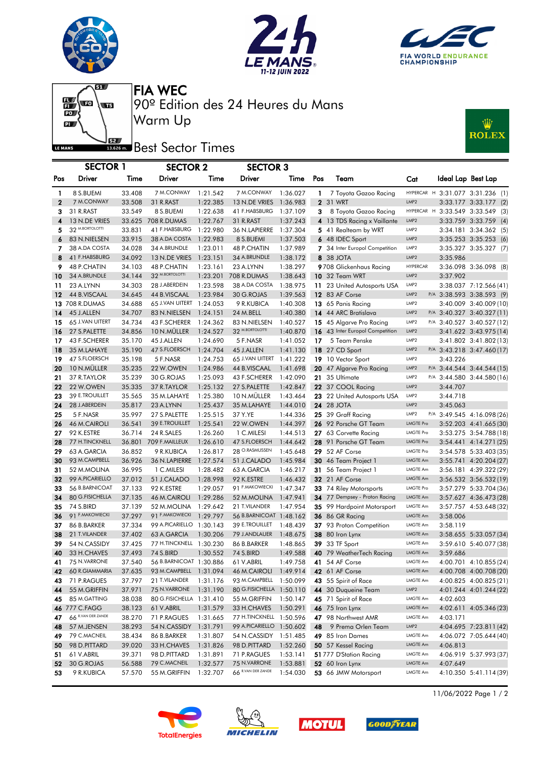







90º Edition des 24 Heures du Mans FIA WEC

## **J**<br>Best Sector Times

Warm Up

| <b>ROLEX</b> |  | Wilz |
|--------------|--|------|
|--------------|--|------|

|                   | <b>SECTOR 1</b>                |                  | <b>SECTOR 2</b>            |                      | <b>SECTOR 3</b>               |                      |              |                                                          |                                    |          |                                                  |
|-------------------|--------------------------------|------------------|----------------------------|----------------------|-------------------------------|----------------------|--------------|----------------------------------------------------------|------------------------------------|----------|--------------------------------------------------|
| Pos               | Driver                         | Time             | Driver                     | Time                 | <b>Driver</b>                 | Time                 | Pos          | Team                                                     | Cat                                |          | Ideal Lap Best Lap                               |
|                   |                                |                  |                            |                      |                               |                      |              |                                                          |                                    |          |                                                  |
| 1<br>$\mathbf{2}$ | 8 S.BUEMI<br>7 M.CONWAY        | 33.408           | 7 M.CONWAY                 | 1:21.542<br>1:22.385 | 7 M.CONWAY<br>13 N.DE VRIES   | 1:36.027             | $\mathbf{1}$ | 7 Toyota Gazoo Racing<br><b>2</b> 31 WRT                 | LMP <sub>2</sub>                   |          | HYPERCAR H 3:31.077 3:31.236 (1)                 |
| 3                 | 31 R.RAST                      | 33.508<br>33.549 | 31 R.RAST<br>8 S.BUEMI     | 1:22.638             | 41 F.HABSBURG                 | 1:36.983<br>1:37.109 | 3            | 8 Toyota Gazoo Racing                                    | HYPERCAR H                         |          | 3:33.177 3:33.177 (2)<br>3:33.549 3:33.549 (3)   |
| 4                 | 13 N.DE VRIES                  | 33.625           | 708 R.DUMAS                | 1:22.767             | 31 R.RAST                     | 1:37.243             |              | 4 13 TDS Racing x Vaillante                              | LMP <sub>2</sub>                   |          | 3:33.759 3:33.759 (4)                            |
| 5                 | 32 M.BORTOLOTTI                | 33.831           | 41 F.HABSBURG              | 1:22.980             | 36 N.LAPIERRE                 | 1:37.304             |              | 5 41 Realteam by WRT                                     | LMP <sub>2</sub>                   |          | 3:34.181 3:34.362 (5)                            |
| 6                 | 83 N.NIELSEN                   | 33.915           | 38 A.DA COSTA              | 1:22.983             | 8 S.BUEMI                     | 1:37.503             |              | 6 48 IDEC Sport                                          | LMP2                               |          | 3:35.253 3:35.253 (6)                            |
| 7                 | 38 A.DA COSTA                  | 34.028           | 34 A.BRUNDLE               | 1:23.011             | 48 P.CHATIN                   | 1:37.989             |              | 7 34 Inter Europol Competition                           | LMP <sub>2</sub>                   |          | 3:35.327 3:35.327 (7)                            |
| 8                 | 41 F.HABSBURG                  | 34.092           | 13 N.DE VRIES              | 1:23.151             | 34 A.BRUNDLE                  | 1:38.172             |              | 8 38 JOTA                                                | LMP2                               | 3:35.986 |                                                  |
| 9                 | 48 P.CHATIN                    | 34.103           | 48 P.CHATIN                | 1:23.161             | 23 A.LYNN                     | 1:38.297             |              | 9708 Glickenhaus Racing                                  | <b>HYPERCAR</b>                    |          | 3:36.098 3:36.098 (8)                            |
| 10                | 34 A.BRUNDLE                   | 34.144           | 32 M.BORTOLOTTI            | 1:23.201             | 708 R.DUMAS                   | 1:38.643             |              | <b>10</b> 32 Team WRT                                    | LMP2                               | 3:37.902 |                                                  |
| 11                | 23 A.LYNN                      | 34.303           | 28 J.ABERDEIN              | 1:23.598             | 38 A.DA COSTA                 | 1:38.975             |              | 11 23 United Autosports USA                              | LMP <sub>2</sub>                   |          | 3:38.037 7:12.566 (41)                           |
| 12                | 44 B.VISCAAL                   | 34.645           | 44 B.VISCAAL               | 1:23.984             | 30 G.ROJAS                    | 1:39.563             |              | 12 83 AF Corse                                           | LMP2                               |          | P/A 3:38.593 3:38.593 (9)                        |
|                   | <b>13 708 R.DUMAS</b>          | 34.688           | 65 J.VAN UITERT            | 1:24.053             | 9 R.KUBICA                    | 1:40.308             |              | 13 65 Panis Racing                                       | LMP <sub>2</sub>                   |          | 3:40.009 3:40.009 (10)                           |
| 14                | 45 J.ALLEN                     | 34.707           | 83 N.NIELSEN               | 1:24.151             | 24 M.BELL                     | 1:40.380             |              | 14 44 ARC Bratislava                                     | LMP <sub>2</sub>                   |          | $P/A$ 3:40.327 3:40.327 (11)                     |
| 15                | 65 J.VAN UITERT                | 34.734           | 43 F.SCHERER               | 1:24.362             | 83 N.NIELSEN                  | 1:40.527             |              | 15 45 Algarve Pro Racing                                 | LMP <sub>2</sub>                   |          | P/A 3:40.527 3:40.527 (12)                       |
| 16                | 27 S.PALETTE                   | 34.856           | 10 N.MULLER                | 1:24.527             | 32 <sup>M.BORTOLOTTI</sup>    | 1:40.870             |              | 16 43 Inter Europol Competition                          | LMP <sub>2</sub>                   |          | 3:41.622 3:43.975 (14)                           |
| 17                | 43 F.SCHERER                   | 35.170           | 45 J.ALLEN                 | 1:24.690             | 5 F.NASR                      | 1:41.052             | 17           | 5 Team Penske                                            | LMP <sub>2</sub>                   |          | 3:41.802 3:41.802 (13)                           |
| 18                | 35 M.LAHAYE                    | 35.190           | 47 S.FLOERSCH              | 1:24.704             | 45 J.ALLEN                    | 1:41.130             |              | <b>18</b> 27 CD Sport                                    | LMP2                               |          | P/A 3:43.218 3:47.460 (17)                       |
| 19                | 47 S.FLOERSCH                  | 35.198           | 5 F.NASR                   | 1:24.753             | 65 J.VAN UITERT 1:41.222      |                      |              | 19 10 Vector Sport                                       | LMP <sub>2</sub>                   | 3:43.226 |                                                  |
| 20                | 10 N.MÜLLER                    | 35.235           | 22 W.OWEN                  | 1:24.986             | 44 B.VISCAAL                  | 1:41.698             |              | 20 47 Algarve Pro Racing                                 | LMP <sub>2</sub>                   |          | P/A 3:44.544 3:44.544 (15)                       |
| 21                | 37 R.TAYLOR                    | 35.239           | 30 G.ROJAS                 | 1:25.093             | 43 F.SCHERER                  | 1:42.090             | 21           | 35 Ultimate                                              | LMP <sub>2</sub>                   |          | P/A 3:44.580 3:44.580 (16)                       |
| 22                | 22 W.OWEN                      | 35.335           | 37 R.TAYLOR                | 1:25.132             | 27 S.PALETTE                  | 1:42.847             |              | 22 37 COOL Racing                                        | LMP2                               | 3:44.707 |                                                  |
| 23                | 39 E.TROUILLET                 | 35.565           | 35 M.LAHAYE                | 1:25.380             | 10 N.MÜLLER                   | 1:43.464             |              | 23 22 United Autosports USA                              | LMP <sub>2</sub>                   | 3:44.718 |                                                  |
| 24                | 28 J.ABERDEIN                  | 35.817           | 23 A.LYNN                  | 1:25.437             | 35 M.LAHAYE                   | 1:44.010             |              | <b>24 28 JOTA</b>                                        | LMP2                               | 3:45.063 |                                                  |
| 25                | 5 F.NASR                       | 35.997           | 27 S.PALETTE               | 1:25.515             | 37 Y.YE                       | 1:44.336             |              | 25 39 Graff Racing                                       | LMP <sub>2</sub>                   |          | P/A 3:49.545 4:16.098 (26)                       |
| 26                | 46 M.CAIROLI                   | 36.541           | 39 E.TROUILLET             | 1:25.541             | 22 W.OWEN                     | 1:44.397             |              | 26 92 Porsche GT Team                                    | <b>LMGTE Pro</b>                   |          | 3:52.203 4:41.665 (30)                           |
| 27                | 92 K.ESTRE                     | 36.714           | 24 R.SALES                 | 1:26.260             | 1 C.MILESI                    | 1:44.513             |              | 27 63 Corvette Racing                                    | <b>LMGTE Pro</b>                   |          | 3:53.275 3:54.788 (18)                           |
| 28                | 77 H.TINCKNELL                 | 36.801           | 709 F.MAILLEUX             | 1:26.610             | 47 S.FLOERSCH                 | 1:44.642             |              | 28 91 Porsche GT Team                                    | <b>LMGTE Pro</b>                   |          | $3:54.441$ $4:14.271$ (25)                       |
| 29                | 63 A.GARCIA                    | 36.852           | 9 R.KUBICA                 | 1:26.817             | 28 O.RASMUSSEN                | 1:45.648             |              | 29 52 AF Corse                                           | <b>LMGTE Pro</b>                   |          | 3:54.578 5:33.403 (35)                           |
| 30                | 93 M.CAMPBELL                  | 36.926           | 36 N.LAPIERRE              | 1:27.574             | 51 J.CALADO                   | 1:45.984             |              | 30 46 Team Project 1                                     | <b>LMGTE Am</b>                    |          | 3:55.741 4:20.204 (27)                           |
| 31                | 52 M.MOLINA<br>99 A.PICARIELLO | 36.995           | 1 C.MILESI                 | 1:28.482             | 63 A.GARCIA                   | 1:46.217             |              | 31 56 Team Project 1                                     | <b>LMGTE Am</b><br><b>LMGTE Am</b> |          | 3:56.181 4:39.322 (29)                           |
| 32                | 56 B.BARNICOAT                 | 37.012           | 51 J.CALADO                | 1:28.998<br>1:29.057 | 92 K.ESTRE<br>91 F.MAKOWIECKI | 1:46.432             |              | <b>32</b> 21 AF Corse                                    | <b>LMGTE Pro</b>                   |          | 3:56.532 3:56.532 (19)                           |
| 33<br>34          | 80 G.FISICHELLA                | 37.133<br>37.135 | 92 K.ESTRE<br>46 M.CAIROLI | 1:29.286             | 52 M.MOLINA                   | 1:47.347<br>1:47.941 |              | 33 74 Riley Motorsports<br>34 77 Dempsey - Proton Racing | LMGTE Am                           |          | 3:57.279 5:33.704 (36)<br>3:57.627 4:36.473 (28) |
| 35                | 74 S.BIRD                      | 37.139           | 52 M.MOLINA                | 1:29.642             | 21 T.VILANDER                 | 1:47.954             |              | 35 99 Hardpoint Motorsport                               | LMGTE Am                           |          | 3:57.757 4:53.648 (32)                           |
| 36                | 91 F.MAKOWIECKI                | 37.297           | 91 F.MAKOWIECKI            | 1:29.797             | 56 B.BARNICOAT 1:48.162       |                      |              | 36 86 GR Racing                                          | LMGTE Am                           | 3:58.006 |                                                  |
| 37                | 86 B.BARKER                    | 37.334           | 99 A.PICARIELLO 1:30.143   |                      | 39 E.TROUILLET                | 1:48.439             |              | 37 93 Proton Competition                                 | <b>LMGTE Am</b>                    | 3:58.119 |                                                  |
| 38                | 21 T.VILANDER                  | 37.402           | 63 A.GARCIA                | 1:30.206             | 79 J.ANDLAUER                 | 1:48.675             |              | 38 80 Iron Lynx                                          | <b>LMGTE Am</b>                    |          | 3:58.655 5:33.057 (34)                           |
| 39                | 54 N.CASSIDY                   | 37.425           | 77 H.TINCKNELL 1:30.230    |                      | 86 B.BARKER                   | 1:48.865             |              | <b>39</b> 33 TF Sport                                    | <b>LMGTE Am</b>                    |          | 3:59.610 5:40.077 (38)                           |
| 40                | 33 H.CHAVES                    | 37.493           | 74 S.BIRD                  | 1:30.552             | 74 S.BIRD                     | 1:49.588             |              | 40 79 WeatherTech Racing                                 | LMGTE Am                           | 3:59.686 |                                                  |
| 41                | 75 N.VARRONE                   | 37.540           | 56 B.BARNICOAT 1:30.886    |                      | 61 V.ABRIL                    | 1:49.758             |              | <b>41</b> 54 AF Corse                                    | LMGTE Am                           |          | 4:00.701 4:10.855 (24)                           |
| 42                | 60 R.GIAMMARIA                 | 37.635           | 93 M.CAMPBELL 1:31.094     |                      | 46 M.CAIROLI                  | 1:49.914             |              | 42 61 AF Corse                                           | LMGTE Am                           |          | 4:00.708 4:00.708 (20)                           |
| 43                | 71 P.RAGUES                    | 37.797           | 21 T.VILANDER              | 1:31.176             | 93 M.CAMPBELL                 | 1:50.099             |              | 43 55 Spirit of Race                                     | LMGTE Am                           |          | 4:00.825 4:00.825 (21)                           |
| 44                | 55 M.GRIFFIN                   | 37.971           | 75 N.VARRONE               | 1:31.190             | 80 G.FISICHELLA 1:50.110      |                      |              | 44 30 Duqueine Team                                      | LMP2                               |          | 4:01.244 4:01.244 (22)                           |
| 45                | 85 M.GATTING                   | 38.038           | 80 G.FISICHELLA 1:31.410   |                      | 55 M.GRIFFIN                  | 1:50.147             |              | 45 71 Spirit of Race                                     | LMGTE Am                           | 4:02.603 |                                                  |
|                   | 46 777 C.FAGG                  | 38.123           | 61 V.ABRIL                 | 1:31.579             | 33 H.CHAVES                   | 1:50.291             |              | 46 75 Iron Lynx                                          | LMGTE Am                           |          | 4:02.611 4:05.346 (23)                           |
| 47                | 66 R.VAN DER ZANDE             | 38.270           | 71 P.RAGUES                | 1:31.665             | 77 H.TINCKNELL 1:50.596       |                      |              | 47 98 Northwest AMR                                      | LMGTE Am                           | 4:03.171 |                                                  |
| 48                | 57 M.JENSEN                    | 38.293           | 54 N.CASSIDY               | 1:31.791             | 99 A.PICARIELLO 1:50.602      |                      | 48           | 9 Prema Orlen Team                                       | LMP <sub>2</sub>                   |          | 4:04.695 7:23.811 (42)                           |
| 49                | 79 C.MACNEIL                   | 38.434           | 86 B.BARKER                | 1:31.807             | 54 N.CASSIDY 1:51.485         |                      |              | 49 85 Iron Dames                                         | LMGTE Am                           |          | 4:06.072 7:05.644 (40)                           |
| 50                | 98 D.PITTARD                   | 39.020           | 33 H.CHAVES                | 1:31.826             | 98 D.PITTARD                  | 1:52.260             |              | 50 57 Kessel Racing                                      | LMGTE Am                           | 4:06.813 |                                                  |
| 51                | 61 V.ABRIL                     | 39.371           | 98 D.PITTARD               | 1:31.891             | 71 P.RAGUES                   | 1:53.141             |              | 51 777 D'Station Racing                                  | LMGTE Am                           |          | 4:06.919 5:37.993 (37)                           |
| 52                | 30 G.ROJAS                     | 56.588           | 79 C.MACNEIL               | 1:32.577             | 75 N.VARRONE                  | 1:53.881             |              | 52 60 Iron Lynx                                          | LMGTE Am                           | 4:07.649 |                                                  |
| 53                | 9 R.KUBICA                     | 57.570           | 55 M.GRIFFIN               | 1:32.707             | 66 R.VAN DER ZANDE            | 1:54.030             |              | 53 66 JMW Motorsport                                     | LMGTE Am                           |          | 4:10.350 5:41.114 (39)                           |









11/06/2022 Page 1 / 2